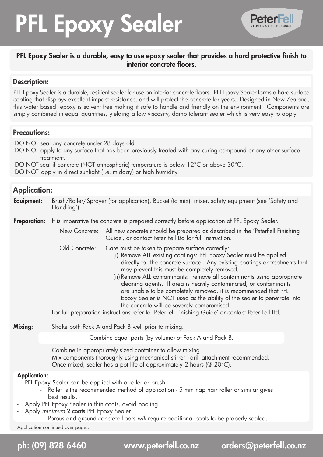# PFL Epoxy Sealer



# PFL Epoxy Sealer is a durable, easy to use epoxy sealer that provides a hard protective finish to interior concrete floors.

# Description:

PFL Epoxy Sealer is a durable, resilient sealer for use on interior concrete floors. PFL Epoxy Sealer forms a hard surface coating that displays excellent impact resistance, and will protect the concrete for years. Designed in New Zealand, this water based epoxy is solvent free making it safe to handle and friendly on the environment. Components are simply combined in equal quantities, yielding a low viscosity, damp tolerant sealer which is very easy to apply.

# Precautions:

DO NOT seal any concrete under 28 days old.

- DO NOT apply to any surface that has been previously treated with any curing compound or any other surface treatment.
- DO NOT seal if concrete (NOT atmospheric) temperature is below 12°C or above 30°C.

DO NOT apply in direct sunlight (i.e. midday) or high humidity.

# Application:

| Equipment:                                                                     | Brush/Roller/Sprayer (for application), Bucket (to mix), mixer, safety equipment (see 'Safety and<br>Handling').                                                                                                                                                                                                                                                                                                                                                                                                                                                                                                                                                                                                       |  |  |  |
|--------------------------------------------------------------------------------|------------------------------------------------------------------------------------------------------------------------------------------------------------------------------------------------------------------------------------------------------------------------------------------------------------------------------------------------------------------------------------------------------------------------------------------------------------------------------------------------------------------------------------------------------------------------------------------------------------------------------------------------------------------------------------------------------------------------|--|--|--|
| <b>Preparation:</b>                                                            | It is imperative the concrete is prepared correctly before application of PFL Epoxy Sealer.                                                                                                                                                                                                                                                                                                                                                                                                                                                                                                                                                                                                                            |  |  |  |
|                                                                                | All new concrete should be prepared as described in the 'PeterFell Finishing<br>New Concrete:<br>Guide', or contact Peter Fell Ltd for full instruction.                                                                                                                                                                                                                                                                                                                                                                                                                                                                                                                                                               |  |  |  |
|                                                                                | Old Concrete:<br>Care must be taken to prepare surface correctly:<br>(i) Remove ALL existing coatings: PFL Epoxy Sealer must be applied<br>directly to the concrete surface. Any existing coatings or treatments that<br>may prevent this must be completely removed.<br>(ii) Remove ALL contaminants: remove all contaminants using appropriate<br>cleaning agents. If area is heavily contaminated, or contaminants<br>are unable to be completely removed, it is recommended that PFL<br>Epoxy Sealer is NOT used as the ability of the sealer to penetrate into<br>the concrete will be severely compromised.<br>For full preparation instructions refer to 'PeterFell Finishing Guide' or contact Peter Fell Ltd. |  |  |  |
| Mixing:                                                                        | Shake both Pack A and Pack B well prior to mixing.                                                                                                                                                                                                                                                                                                                                                                                                                                                                                                                                                                                                                                                                     |  |  |  |
|                                                                                | Combine equal parts (by volume) of Pack A and Pack B.                                                                                                                                                                                                                                                                                                                                                                                                                                                                                                                                                                                                                                                                  |  |  |  |
|                                                                                | Combine in appropriately sized container to allow mixing.<br>Mix components thoroughly using mechanical stirrer - drill attachment recommended.<br>Once mixed, sealer has a pot life of approximately 2 hours ( $@ 20°C$ ).                                                                                                                                                                                                                                                                                                                                                                                                                                                                                            |  |  |  |
| <b>Application:</b><br>PFL Epoxy Sealer can be applied with a roller or brush. |                                                                                                                                                                                                                                                                                                                                                                                                                                                                                                                                                                                                                                                                                                                        |  |  |  |

- Roller is the recommended method of application 5 mm nap hair roller or similar gives best results.
- Apply PFL Epoxy Sealer in thin coats, avoid pooling.
- Apply *minimum* 2 coats PFL Epoxy Sealer

- Porous and ground concrete floors will require additional coats to be properly sealed.

Application continued over page...

ph: (09) 828 6460 www.peterfell.co.nz orders@peterfell.co.nz